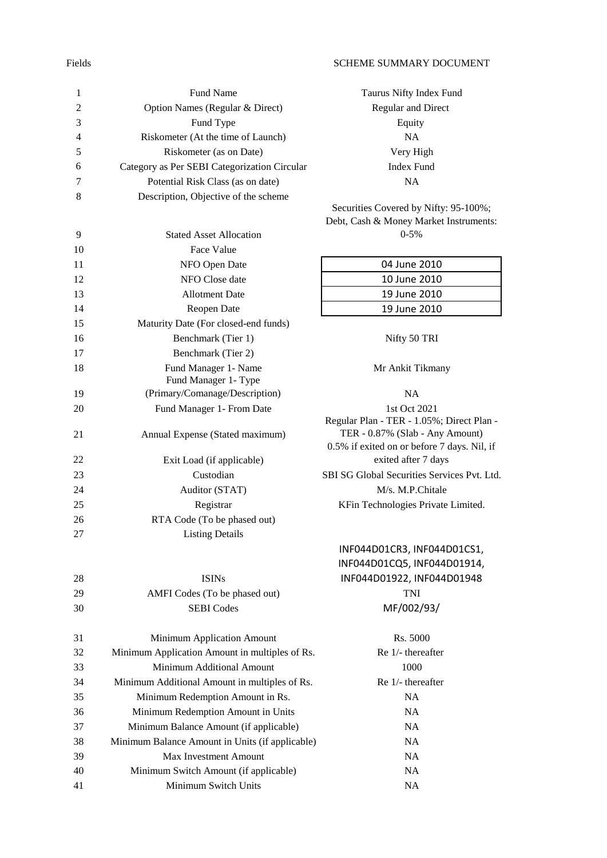## Fields SCHEME SUMMARY DOCUMENT

| $\mathbf{1}$   | Fund Name                                       | Taurus Nifty Index Fund                                                      |
|----------------|-------------------------------------------------|------------------------------------------------------------------------------|
| $\overline{c}$ | Option Names (Regular & Direct)                 | Regular and Direct                                                           |
| 3              | Fund Type                                       | Equity                                                                       |
| 4              | Riskometer (At the time of Launch)              | <b>NA</b>                                                                    |
| 5              | Riskometer (as on Date)                         | Very High                                                                    |
| 6              | Category as Per SEBI Categorization Circular    | <b>Index Fund</b>                                                            |
| 7              | Potential Risk Class (as on date)               | <b>NA</b>                                                                    |
| 8              | Description, Objective of the scheme            |                                                                              |
|                |                                                 | Securities Covered by Nifty: 95-100%;                                        |
|                |                                                 | Debt, Cash & Money Market Instruments:<br>$0 - 5\%$                          |
| 9              | <b>Stated Asset Allocation</b>                  |                                                                              |
| 10             | Face Value                                      |                                                                              |
| 11             | NFO Open Date                                   | 04 June 2010                                                                 |
| 12             | NFO Close date                                  | 10 June 2010                                                                 |
| 13             | <b>Allotment Date</b>                           | 19 June 2010                                                                 |
| 14             | Reopen Date                                     | 19 June 2010                                                                 |
| 15             | Maturity Date (For closed-end funds)            |                                                                              |
| 16             | Benchmark (Tier 1)                              | Nifty 50 TRI                                                                 |
| 17             | Benchmark (Tier 2)                              |                                                                              |
| 18             | Fund Manager 1- Name                            | Mr Ankit Tikmany                                                             |
|                | Fund Manager 1- Type                            |                                                                              |
| 19             | (Primary/Comanage/Description)                  | <b>NA</b>                                                                    |
| 20             | Fund Manager 1- From Date                       | 1st Oct 2021                                                                 |
| 21             | Annual Expense (Stated maximum)                 | Regular Plan - TER - 1.05%; Direct Plan -<br>TER - 0.87% (Slab - Any Amount) |
|                |                                                 | 0.5% if exited on or before 7 days. Nil, if                                  |
| 22             | Exit Load (if applicable)                       | exited after 7 days                                                          |
| 23             | Custodian                                       | SBI SG Global Securities Services Pvt. Ltd.                                  |
| 24             | Auditor (STAT)                                  | M/s. M.P.Chitale                                                             |
| 25             | Registrar                                       | KFin Technologies Private Limited.                                           |
| 26             | RTA Code (To be phased out)                     |                                                                              |
| 27             | <b>Listing Details</b>                          |                                                                              |
|                |                                                 | INF044D01CR3, INF044D01CS1,                                                  |
|                |                                                 | INF044D01CQ5, INF044D01914,                                                  |
| 28             | <b>ISINs</b>                                    | INF044D01922, INF044D01948                                                   |
| 29             | AMFI Codes (To be phased out)                   | TNI                                                                          |
| 30             | <b>SEBI</b> Codes                               | MF/002/93/                                                                   |
|                |                                                 |                                                                              |
| 31             | Minimum Application Amount                      | Rs. 5000                                                                     |
| 32             | Minimum Application Amount in multiples of Rs.  | Re 1/- thereafter                                                            |
| 33             | Minimum Additional Amount                       | 1000                                                                         |
| 34             | Minimum Additional Amount in multiples of Rs.   | Re 1/- thereafter                                                            |
| 35             | Minimum Redemption Amount in Rs.                | NA                                                                           |
| 36             | Minimum Redemption Amount in Units              | NA                                                                           |
| 37             | Minimum Balance Amount (if applicable)          | NA                                                                           |
| 38             | Minimum Balance Amount in Units (if applicable) | NA                                                                           |
| 39             | <b>Max Investment Amount</b>                    | NA                                                                           |
| 40             | Minimum Switch Amount (if applicable)           | NA                                                                           |
| 41             | Minimum Switch Units                            | NA                                                                           |
|                |                                                 |                                                                              |